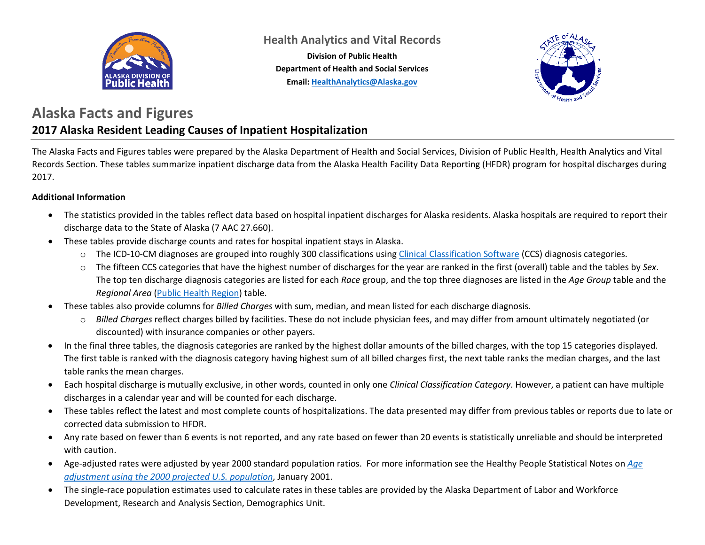

**Health Analytics and Vital Records**

**Division of Public Health Department of Health and Social Services Email: [HealthAnalytics@Alaska.gov](mailto:HealthAnalytics@Alaska.gov)**



#### **Alaska Facts and Figures 2017 Alaska Resident Leading Causes of Inpatient Hospitalization**

The Alaska Facts and Figures tables were prepared by the Alaska Department of Health and Social Services, Division of Public Health, Health Analytics and Vital Records Section. These tables summarize inpatient discharge data from the Alaska Health Facility Data Reporting (HFDR) program for hospital discharges during 2017.

#### **Additional Information**

- The statistics provided in the tables reflect data based on hospital inpatient discharges for Alaska residents. Alaska hospitals are required to report their discharge data to the State of Alaska (7 AAC 27.660).
- These tables provide discharge counts and rates for hospital inpatient stays in Alaska.
	- o The ICD-10-CM diagnoses are grouped into roughly 300 classifications using [Clinical Classification Software](https://www.hcup-us.ahrq.gov/toolssoftware/ccs10/ccs10.jsp) (CCS) diagnosis categories.
	- o The fifteen CCS categories that have the highest number of discharges for the year are ranked in the first (overall) table and the tables by *Sex*. The top ten discharge diagnosis categories are listed for each *Race* group, and the top three diagnoses are listed in the *Age Group* table and the *Regional Area* [\(Public Health Region\)](http://dhss.alaska.gov/dph/InfoCenter/Pages/ia/brfss/geo_phr.aspx) table.
- These tables also provide columns for *Billed Charges* with sum, median, and mean listed for each discharge diagnosis.
	- o *Billed Charges* reflect charges billed by facilities. These do not include physician fees, and may differ from amount ultimately negotiated (or discounted) with insurance companies or other payers.
- In the final three tables, the diagnosis categories are ranked by the highest dollar amounts of the billed charges, with the top 15 categories displayed. The first table is ranked with the diagnosis category having highest sum of all billed charges first, the next table ranks the median charges, and the last table ranks the mean charges.
- Each hospital discharge is mutually exclusive, in other words, counted in only one *Clinical Classification Category*. However, a patient can have multiple discharges in a calendar year and will be counted for each discharge.
- These tables reflect the latest and most complete counts of hospitalizations. The data presented may differ from previous tables or reports due to late or corrected data submission to HFDR.
- Any rate based on fewer than 6 events is not reported, and any rate based on fewer than 20 events is statistically unreliable and should be interpreted with caution.
- Age-adjusted rates were adjusted by year 2000 standard population ratios. For more information see the Healthy People Statistical Notes on *[Age](https://www.cdc.gov/nchs/data/statnt/statnt20.pdf)  [adjustment using the 2000 projected U.S. population](https://www.cdc.gov/nchs/data/statnt/statnt20.pdf)*, January 2001.
- The single-race population estimates used to calculate rates in these tables are provided by the Alaska Department of Labor and Workforce Development, Research and Analysis Section, Demographics Unit.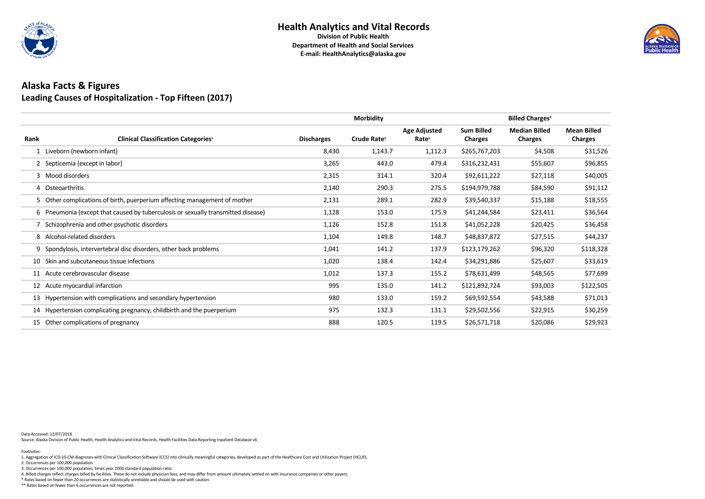

# **Alaska Facts & Figures Leading Causes of Hospitalization - Top Fifteen (2017)**

|      |                                                                                  |                   | <b>Morbidity</b>        |                                          |                                     | <b>Billed Charges<sup>4</sup></b>      |                                      |
|------|----------------------------------------------------------------------------------|-------------------|-------------------------|------------------------------------------|-------------------------------------|----------------------------------------|--------------------------------------|
| Rank | <b>Clinical Classification Categories<sup>1</sup></b>                            | <b>Discharges</b> | Crude Rate <sup>2</sup> | <b>Age Adjusted</b><br>Rate <sup>3</sup> | <b>Sum Billed</b><br><b>Charges</b> | <b>Median Billed</b><br><b>Charges</b> | <b>Mean Billed</b><br><b>Charges</b> |
|      | 1 Liveborn (newborn infant)                                                      | 8,430             | 1,143.7                 | 1,112.3                                  | \$265,767,203                       | \$4,508                                | \$31,526                             |
|      | 2 Septicemia (except in labor)                                                   | 3,265             | 443.0                   | 479.4                                    | \$316,232,431                       | \$55,607                               | \$96,855                             |
|      | 3 Mood disorders                                                                 | 2,315             | 314.1                   | 320.4                                    | \$92,611,222                        | \$27,118                               | \$40,005                             |
|      | 4 Osteoarthritis                                                                 | 2,140             | 290.3                   | 275.5                                    | \$194,979,788                       | \$84,590                               | \$91,112                             |
|      | 5 Other complications of birth, puerperium affecting management of mother        | 2,131             | 289.1                   | 282.9                                    | \$39,540,337                        | \$15,188                               | \$18,555                             |
|      | 6 Pneumonia (except that caused by tuberculosis or sexually transmitted disease) | 1,128             | 153.0                   | 175.9                                    | \$41,244,584                        | \$23,411                               | \$36,564                             |
|      | Schizophrenia and other psychotic disorders                                      | 1,126             | 152.8                   | 151.8                                    | \$41,052,228                        | \$20,425                               | \$36,458                             |
|      | 8 Alcohol-related disorders                                                      | 1,104             | 149.8                   | 148.7                                    | \$48,837,872                        | \$27,515                               | \$44,237                             |
|      | 9 Spondylosis, intervertebral disc disorders, other back problems                | 1,041             | 141.2                   | 137.9                                    | \$123,179,262                       | \$96,320                               | \$118,328                            |
| 10   | Skin and subcutaneous tissue infections                                          | 1,020             | 138.4                   | 142.4                                    | \$34,291,886                        | \$25,607                               | \$33,619                             |
|      | 11 Acute cerebrovascular disease                                                 | 1,012             | 137.3                   | 155.2                                    | \$78,631,499                        | \$48,565                               | \$77,699                             |
|      | 12 Acute myocardial infarction                                                   | 995               | 135.0                   | 141.2                                    | \$121,892,724                       | \$93,003                               | \$122,505                            |
|      | 13 Hypertension with complications and secondary hypertension                    | 980               | 133.0                   | 159.2                                    | \$69,592,554                        | \$43,588                               | \$71,013                             |
|      | 14 Hypertension complicating pregnancy, childbirth and the puerperium            | 975               | 132.3                   | 131.1                                    | \$29,502,556                        | \$22,915                               | \$30,259                             |
|      | 15 Other complications of pregnancy                                              | 888               | 120.5                   | 119.5                                    | \$26,571,718                        | \$20,086                               | \$29,923                             |

Data Accessed: 12/07/2018

Source: Alaska Division of Public Health, Health Analytics and Vital Records, Health Facilities Data Reporting Inpatient Database v6

\*\* Rates based on fewer than 6 occurrences are not reported.



4. Billed charges reflect charges billed by facilities. These do not include physician fees, and may differ from amount ultimately settled on with insurance companies or other payers.

\* Rates based on fewer than 20 occurrences are statistically unreliable and should be used with caution.

2. Occurrences per 100,000 population.

3. Occurrences per 100,000 population, times year 2000 standard population ratio.

#### Footnotes: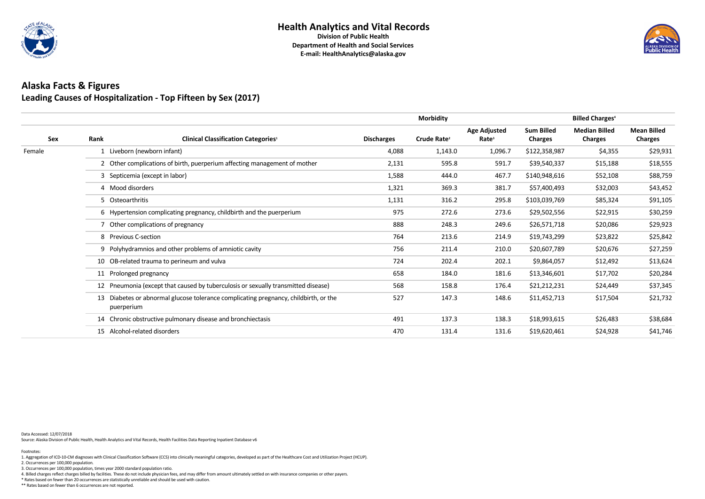

# **Alaska Facts & Figures Leading Causes of Hospitalization - Top Fifteen by Sex (2017)**

|            |                                                                                                    |                                                                                   |                   | <b>Morbidity</b>        |                                          |                                     | <b>Billed Charges<sup>4</sup></b>      |                                      |
|------------|----------------------------------------------------------------------------------------------------|-----------------------------------------------------------------------------------|-------------------|-------------------------|------------------------------------------|-------------------------------------|----------------------------------------|--------------------------------------|
| <b>Sex</b> | Rank                                                                                               | <b>Clinical Classification Categories</b> <sup>1</sup>                            | <b>Discharges</b> | Crude Rate <sup>2</sup> | <b>Age Adjusted</b><br>Rate <sup>3</sup> | <b>Sum Billed</b><br><b>Charges</b> | <b>Median Billed</b><br><b>Charges</b> | <b>Mean Billed</b><br><b>Charges</b> |
| Female     |                                                                                                    | 1 Liveborn (newborn infant)                                                       | 4,088             | 1,143.0                 | 1,096.7                                  | \$122,358,987                       | \$4,355                                | \$29,931                             |
|            |                                                                                                    | 2 Other complications of birth, puerperium affecting management of mother         | 2,131             | 595.8                   | 591.7                                    | \$39,540,337                        | \$15,188                               | \$18,555                             |
|            |                                                                                                    | 3 Septicemia (except in labor)                                                    | 1,588             | 444.0                   | 467.7                                    | \$140,948,616                       | \$52,108                               | \$88,759                             |
|            |                                                                                                    | 4 Mood disorders                                                                  | 1,321             | 369.3                   | 381.7                                    | \$57,400,493                        | \$32,003                               | \$43,452                             |
|            | 5 Osteoarthritis                                                                                   |                                                                                   | 1,131             | 316.2                   | 295.8                                    | \$103,039,769                       | \$85,324                               | \$91,105                             |
|            |                                                                                                    | 6 Hypertension complicating pregnancy, childbirth and the puerperium              | 975               | 272.6                   | 273.6                                    | \$29,502,556                        | \$22,915                               | \$30,259                             |
|            |                                                                                                    | 7 Other complications of pregnancy                                                | 888               | 248.3                   | 249.6                                    | \$26,571,718                        | \$20,086                               | \$29,923                             |
|            |                                                                                                    | 8 Previous C-section                                                              | 764               | 213.6                   | 214.9                                    | \$19,743,299                        | \$23,822                               | \$25,842                             |
|            |                                                                                                    | 9 Polyhydramnios and other problems of amniotic cavity                            | 756               | 211.4                   | 210.0                                    | \$20,607,789                        | \$20,676                               | \$27,259                             |
|            |                                                                                                    | 10 OB-related trauma to perineum and vulva                                        | 724               | 202.4                   | 202.1                                    | \$9,864,057                         | \$12,492                               | \$13,624                             |
|            |                                                                                                    | 11 Prolonged pregnancy                                                            | 658               | 184.0                   | 181.6                                    | \$13,346,601                        | \$17,702                               | \$20,284                             |
|            |                                                                                                    | 12 Pneumonia (except that caused by tuberculosis or sexually transmitted disease) | 568               | 158.8                   | 176.4                                    | \$21,212,231                        | \$24,449                               | \$37,345                             |
|            | 13 Diabetes or abnormal glucose tolerance complicating pregnancy, childbirth, or the<br>puerperium |                                                                                   | 527               | 147.3                   | 148.6                                    | \$11,452,713                        | \$17,504                               | \$21,732                             |
|            |                                                                                                    | 14 Chronic obstructive pulmonary disease and bronchiectasis                       | 491               | 137.3                   | 138.3                                    | \$18,993,615                        | \$26,483                               | \$38,684                             |
|            |                                                                                                    | 15 Alcohol-related disorders                                                      | 470               | 131.4                   | 131.6                                    | \$19,620,461                        | \$24,928                               | \$41,746                             |

Data Accessed: 12/07/2018

Source: Alaska Division of Public Health, Health Analytics and Vital Records, Health Facilities Data Reporting Inpatient Database v6

\*\* Rates based on fewer than 6 occurrences are not reported.



4. Billed charges reflect charges billed by facilities. These do not include physician fees, and may differ from amount ultimately settled on with insurance companies or other payers.

\* Rates based on fewer than 20 occurrences are statistically unreliable and should be used with caution.

2. Occurrences per 100,000 population.

3. Occurrences per 100,000 population, times year 2000 standard population ratio.

#### Footnotes: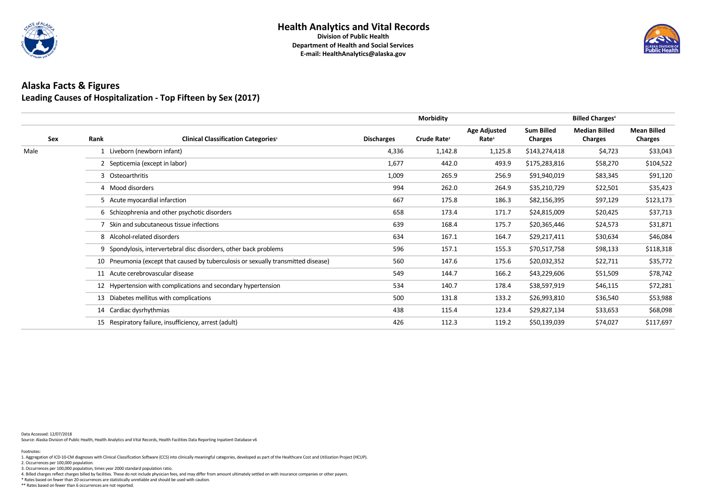

### **Health Analytics and Vital Records**

**Division of Public Health Department of Health and Social Services E-mail: HealthAnalytics@alaska.gov**

### **Alaska Facts & Figures Leading Causes of Hospitalization - Top Fifteen by Sex (2017)**

|            |      |                                                                                   |                   | <b>Morbidity</b>        |                                          |                                     | <b>Billed Charges<sup>4</sup></b>      |                                      |
|------------|------|-----------------------------------------------------------------------------------|-------------------|-------------------------|------------------------------------------|-------------------------------------|----------------------------------------|--------------------------------------|
| <b>Sex</b> | Rank | <b>Clinical Classification Categories1</b>                                        | <b>Discharges</b> | Crude Rate <sup>2</sup> | <b>Age Adjusted</b><br>Rate <sup>3</sup> | <b>Sum Billed</b><br><b>Charges</b> | <b>Median Billed</b><br><b>Charges</b> | <b>Mean Billed</b><br><b>Charges</b> |
| Male       |      | 1 Liveborn (newborn infant)                                                       | 4,336             | 1,142.8                 | 1,125.8                                  | \$143,274,418                       | \$4,723                                | \$33,043                             |
|            |      | 2 Septicemia (except in labor)                                                    | 1,677             | 442.0                   | 493.9                                    | \$175,283,816                       | \$58,270                               | \$104,522                            |
|            |      | 3 Osteoarthritis                                                                  | 1,009             | 265.9                   | 256.9                                    | \$91,940,019                        | \$83,345                               | \$91,120                             |
|            |      | 4 Mood disorders                                                                  | 994               | 262.0                   | 264.9                                    | \$35,210,729                        | \$22,501                               | \$35,423                             |
|            |      | 5 Acute myocardial infarction                                                     | 667               | 175.8                   | 186.3                                    | \$82,156,395                        | \$97,129                               | \$123,173                            |
|            |      | 6 Schizophrenia and other psychotic disorders                                     | 658               | 173.4                   | 171.7                                    | \$24,815,009                        | \$20,425                               | \$37,713                             |
|            |      | 7 Skin and subcutaneous tissue infections                                         | 639               | 168.4                   | 175.7                                    | \$20,365,446                        | \$24,573                               | \$31,871                             |
|            |      | 8 Alcohol-related disorders                                                       | 634               | 167.1                   | 164.7                                    | \$29,217,411                        | \$30,634                               | \$46,084                             |
|            |      | 9 Spondylosis, intervertebral disc disorders, other back problems                 | 596               | 157.1                   | 155.3                                    | \$70,517,758                        | \$98,133                               | \$118,318                            |
|            |      | 10 Pneumonia (except that caused by tuberculosis or sexually transmitted disease) | 560               | 147.6                   | 175.6                                    | \$20,032,352                        | \$22,711                               | \$35,772                             |
|            |      | 11 Acute cerebrovascular disease                                                  | 549               | 144.7                   | 166.2                                    | \$43,229,606                        | \$51,509                               | \$78,742                             |
|            |      | 12 Hypertension with complications and secondary hypertension                     | 534               | 140.7                   | 178.4                                    | \$38,597,919                        | \$46,115                               | \$72,281                             |
|            |      | 13 Diabetes mellitus with complications                                           | 500               | 131.8                   | 133.2                                    | \$26,993,810                        | \$36,540                               | \$53,988                             |
|            |      | 14 Cardiac dysrhythmias                                                           | 438               | 115.4                   | 123.4                                    | \$29,827,134                        | \$33,653                               | \$68,098                             |
|            |      | 15 Respiratory failure, insufficiency, arrest (adult)                             | 426               | 112.3                   | 119.2                                    | \$50,139,039                        | \$74,027                               | \$117,697                            |

Data Accessed: 12/07/2018

Source: Alaska Division of Public Health, Health Analytics and Vital Records, Health Facilities Data Reporting Inpatient Database v6

\*\* Rates based on fewer than 6 occurrences are not reported.



4. Billed charges reflect charges billed by facilities. These do not include physician fees, and may differ from amount ultimately settled on with insurance companies or other payers.

\* Rates based on fewer than 20 occurrences are statistically unreliable and should be used with caution.

2. Occurrences per 100,000 population.

3. Occurrences per 100,000 population, times year 2000 standard population ratio.

#### Footnotes: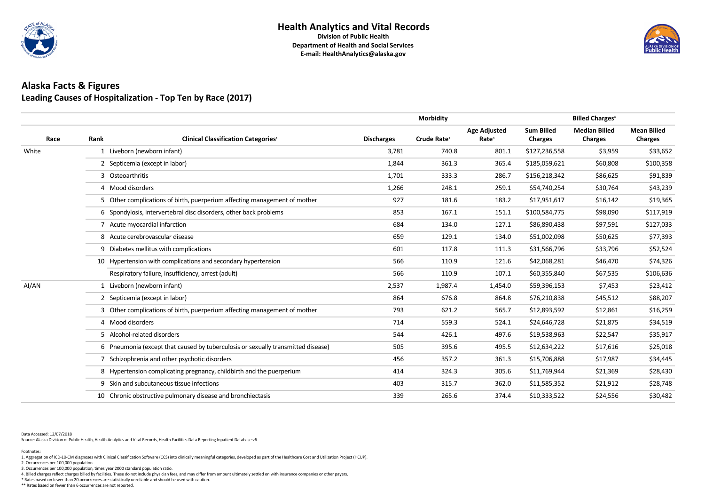

### **Health Analytics and Vital Records**

**Division of Public Health Department of Health and Social Services E-mail: HealthAnalytics@alaska.gov**

# **Alaska Facts & Figures Leading Causes of Hospitalization - Top Ten by Race (2017)**

|       |                                |                                                                                  |                   | <b>Morbidity</b>        |                                          | <b>Billed Charges<sup>4</sup></b>   |                                        |                                      |
|-------|--------------------------------|----------------------------------------------------------------------------------|-------------------|-------------------------|------------------------------------------|-------------------------------------|----------------------------------------|--------------------------------------|
| Race  | Rank                           | <b>Clinical Classification Categories1</b>                                       | <b>Discharges</b> | Crude Rate <sup>2</sup> | <b>Age Adjusted</b><br>Rate <sup>3</sup> | <b>Sum Billed</b><br><b>Charges</b> | <b>Median Billed</b><br><b>Charges</b> | <b>Mean Billed</b><br><b>Charges</b> |
| White |                                | 1 Liveborn (newborn infant)                                                      | 3,781             | 740.8                   | 801.1                                    | \$127,236,558                       | \$3,959                                | \$33,652                             |
|       | 2 Septicemia (except in labor) |                                                                                  |                   | 361.3                   | 365.4                                    | \$185,059,621                       | \$60,808                               | \$100,358                            |
|       | 3 Osteoarthritis               |                                                                                  |                   | 333.3                   | 286.7                                    | \$156,218,342                       | \$86,625                               | \$91,839                             |
|       |                                | 4 Mood disorders                                                                 | 1,266             | 248.1                   | 259.1                                    | \$54,740,254                        | \$30,764                               | \$43,239                             |
|       |                                | 5 Other complications of birth, puerperium affecting management of mother        | 927               | 181.6                   | 183.2                                    | \$17,951,617                        | \$16,142                               | \$19,365                             |
|       |                                | 6 Spondylosis, intervertebral disc disorders, other back problems                | 853               | 167.1                   | 151.1                                    | \$100,584,775                       | \$98,090                               | \$117,919                            |
|       |                                | 7 Acute myocardial infarction                                                    | 684               | 134.0                   | 127.1                                    | \$86,890,438                        | \$97,591                               | \$127,033                            |
|       |                                | 8 Acute cerebrovascular disease                                                  | 659               | 129.1                   | 134.0                                    | \$51,002,098                        | \$50,625                               | \$77,393                             |
|       |                                | 9 Diabetes mellitus with complications                                           | 601               | 117.8                   | 111.3                                    | \$31,566,796                        | \$33,796                               | \$52,524                             |
|       |                                | 10 Hypertension with complications and secondary hypertension                    | 566               | 110.9                   | 121.6                                    | \$42,068,281                        | \$46,470                               | \$74,326                             |
|       |                                | Respiratory failure, insufficiency, arrest (adult)                               | 566               | 110.9                   | 107.1                                    | \$60,355,840                        | \$67,535                               | \$106,636                            |
| AI/AN |                                | 1 Liveborn (newborn infant)                                                      | 2,537             | 1,987.4                 | 1,454.0                                  | \$59,396,153                        | \$7,453                                | \$23,412                             |
|       |                                | 2 Septicemia (except in labor)                                                   | 864               | 676.8                   | 864.8                                    | \$76,210,838                        | \$45,512                               | \$88,207                             |
|       |                                | 3 Other complications of birth, puerperium affecting management of mother        | 793               | 621.2                   | 565.7                                    | \$12,893,592                        | \$12,861                               | \$16,259                             |
|       |                                | 4 Mood disorders                                                                 | 714               | 559.3                   | 524.1                                    | \$24,646,728                        | \$21,875                               | \$34,519                             |
|       |                                | 5 Alcohol-related disorders                                                      | 544               | 426.1                   | 497.6                                    | \$19,538,963                        | \$22,547                               | \$35,917                             |
|       |                                | 6 Pneumonia (except that caused by tuberculosis or sexually transmitted disease) | 505               | 395.6                   | 495.5                                    | \$12,634,222                        | \$17,616                               | \$25,018                             |
|       |                                | 7 Schizophrenia and other psychotic disorders                                    | 456               | 357.2                   | 361.3                                    | \$15,706,888                        | \$17,987                               | \$34,445                             |
|       |                                | 8 Hypertension complicating pregnancy, childbirth and the puerperium             | 414               | 324.3                   | 305.6                                    | \$11,769,944                        | \$21,369                               | \$28,430                             |
|       |                                | 9 Skin and subcutaneous tissue infections                                        | 403               | 315.7                   | 362.0                                    | \$11,585,352                        | \$21,912                               | \$28,748                             |
|       |                                | 10 Chronic obstructive pulmonary disease and bronchiectasis                      | 339               | 265.6                   | 374.4                                    | \$10,333,522                        | \$24,556                               | \$30,482                             |

Data Accessed: 12/07/2018

Source: Alaska Division of Public Health, Health Analytics and Vital Records, Health Facilities Data Reporting Inpatient Database v6

\*\* Rates based on fewer than 6 occurrences are not reported.



4. Billed charges reflect charges billed by facilities. These do not include physician fees, and may differ from amount ultimately settled on with insurance companies or other payers.

\* Rates based on fewer than 20 occurrences are statistically unreliable and should be used with caution.

2. Occurrences per 100,000 population.

3. Occurrences per 100,000 population, times year 2000 standard population ratio.

Footnotes: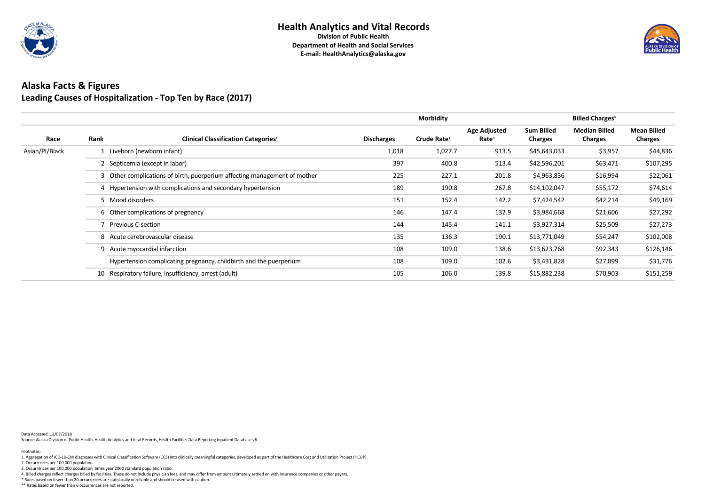

# **Alaska Facts & Figures Leading Causes of Hospitalization - Top Ten by Race (2017)**

|                |                      |                                                                           |                   | <b>Morbidity</b>        |                                          |                                     | <b>Billed Charges</b> <sup>4</sup>     |                                      |
|----------------|----------------------|---------------------------------------------------------------------------|-------------------|-------------------------|------------------------------------------|-------------------------------------|----------------------------------------|--------------------------------------|
| Race           | Rank                 | <b>Clinical Classification Categories1</b>                                | <b>Discharges</b> | Crude Rate <sup>2</sup> | <b>Age Adjusted</b><br>Rate <sup>3</sup> | <b>Sum Billed</b><br><b>Charges</b> | <b>Median Billed</b><br><b>Charges</b> | <b>Mean Billed</b><br><b>Charges</b> |
| Asian/PI/Black |                      | Liveborn (newborn infant)                                                 | 1,018             | 1,027.7                 | 913.5                                    | \$45,643,033                        | \$3,957                                | \$44,836                             |
|                |                      | 2 Septicemia (except in labor)                                            | 397               | 400.8                   | 513.4                                    | \$42,596,201                        | \$63,471                               | \$107,295                            |
|                |                      | 3 Other complications of birth, puerperium affecting management of mother | 225               | 227.1                   | 201.8                                    | \$4,963,836                         | \$16,994                               | \$22,061                             |
|                |                      | 4 Hypertension with complications and secondary hypertension              | 189               | 190.8                   | 267.8                                    | \$14,102,047                        | \$55,172                               | \$74,614                             |
|                | 5 Mood disorders     |                                                                           | 151               | 152.4                   | 142.2                                    | \$7,424,542                         | \$42,214                               | \$49,169                             |
|                |                      | 6 Other complications of pregnancy                                        | 146               | 147.4                   | 132.9                                    | \$3,984,668                         | \$21,606                               | \$27,292                             |
|                | 7 Previous C-section |                                                                           | 144               | 145.4                   | 141.1                                    | \$3,927,314                         | \$25,509                               | \$27,273                             |
|                |                      | 8 Acute cerebrovascular disease                                           | 135               | 136.3                   | 190.1                                    | \$13,771,049                        | \$54,247                               | \$102,008                            |
|                |                      | 9 Acute myocardial infarction                                             | 108               | 109.0                   | 138.6                                    | \$13,623,768                        | \$92,343                               | \$126,146                            |
|                |                      | Hypertension complicating pregnancy, childbirth and the puerperium        | 108               | 109.0                   | 102.6                                    | \$3,431,828                         | \$27,899                               | \$31,776                             |
|                | 10                   | Respiratory failure, insufficiency, arrest (adult)                        | 105               | 106.0                   | 139.8                                    | \$15,882,238                        | \$70,903                               | \$151,259                            |

Data Accessed: 12/07/2018

Source: Alaska Division of Public Health, Health Analytics and Vital Records, Health Facilities Data Reporting Inpatient Database v6

\*\* Rates based on fewer than 6 occurrences are not reported.



4. Billed charges reflect charges billed by facilities. These do not include physician fees, and may differ from amount ultimately settled on with insurance companies or other payers.

\* Rates based on fewer than 20 occurrences are statistically unreliable and should be used with caution.

2. Occurrences per 100,000 population.

3. Occurrences per 100,000 population, times year 2000 standard population ratio.

#### Footnotes: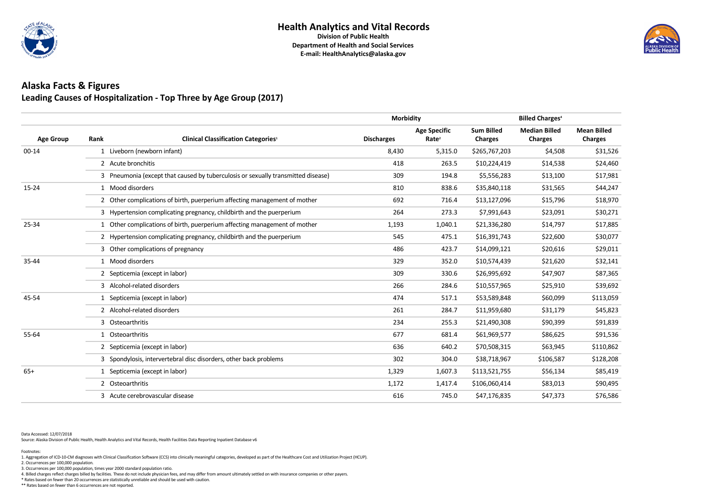

### **Alaska Facts & Figures Leading Causes of Hospitalization - Top Three by Age Group (2017)**

|                  |      |                                                                                  | <b>Morbidity</b>  |                                          | <b>Billed Charges<sup>4</sup></b>   |                                        |                                      |
|------------------|------|----------------------------------------------------------------------------------|-------------------|------------------------------------------|-------------------------------------|----------------------------------------|--------------------------------------|
| <b>Age Group</b> | Rank | <b>Clinical Classification Categories1</b>                                       | <b>Discharges</b> | <b>Age Specific</b><br>Rate <sup>2</sup> | <b>Sum Billed</b><br><b>Charges</b> | <b>Median Billed</b><br><b>Charges</b> | <b>Mean Billed</b><br><b>Charges</b> |
| $00 - 14$        |      | 1 Liveborn (newborn infant)                                                      | 8,430             | 5,315.0                                  | \$265,767,203                       | \$4,508                                | \$31,526                             |
|                  |      | 2 Acute bronchitis                                                               | 418               | 263.5                                    | \$10,224,419                        | \$14,538                               | \$24,460                             |
|                  |      | 3 Pneumonia (except that caused by tuberculosis or sexually transmitted disease) | 309               | 194.8                                    | \$5,556,283                         | \$13,100                               | \$17,981                             |
| $15 - 24$        |      | 1 Mood disorders                                                                 | 810               | 838.6                                    | \$35,840,118                        | \$31,565                               | \$44,247                             |
|                  |      | 2 Other complications of birth, puerperium affecting management of mother        | 692               | 716.4                                    | \$13,127,096                        | \$15,796                               | \$18,970                             |
|                  |      | 3 Hypertension complicating pregnancy, childbirth and the puerperium             | 264               | 273.3                                    | \$7,991,643                         | \$23,091                               | \$30,271                             |
| 25-34            |      | 1 Other complications of birth, puerperium affecting management of mother        | 1,193             | 1,040.1                                  | \$21,336,280                        | \$14,797                               | \$17,885                             |
|                  |      | 2 Hypertension complicating pregnancy, childbirth and the puerperium             | 545               | 475.1                                    | \$16,391,743                        | \$22,600                               | \$30,077                             |
|                  |      | 3 Other complications of pregnancy                                               | 486               | 423.7                                    | \$14,099,121                        | \$20,616                               | \$29,011                             |
| 35-44            |      | 1 Mood disorders                                                                 | 329               | 352.0                                    | \$10,574,439                        | \$21,620                               | \$32,141                             |
|                  |      | 2 Septicemia (except in labor)                                                   | 309               | 330.6                                    | \$26,995,692                        | \$47,907                               | \$87,365                             |
|                  |      | 3 Alcohol-related disorders                                                      | 266               | 284.6                                    | \$10,557,965                        | \$25,910                               | \$39,692                             |
| 45-54            |      | 1 Septicemia (except in labor)                                                   | 474               | 517.1                                    | \$53,589,848                        | \$60,099                               | \$113,059                            |
|                  |      | 2 Alcohol-related disorders                                                      | 261               | 284.7                                    | \$11,959,680                        | \$31,179                               | \$45,823                             |
|                  |      | 3 Osteoarthritis                                                                 | 234               | 255.3                                    | \$21,490,308                        | \$90,399                               | \$91,839                             |
| 55-64            |      | 1 Osteoarthritis                                                                 | 677               | 681.4                                    | \$61,969,577                        | \$86,625                               | \$91,536                             |
|                  |      | 2 Septicemia (except in labor)                                                   | 636               | 640.2                                    | \$70,508,315                        | \$63,945                               | \$110,862                            |
|                  |      | 3 Spondylosis, intervertebral disc disorders, other back problems                | 302               | 304.0                                    | \$38,718,967                        | \$106,587                              | \$128,208                            |
| $65+$            |      | 1 Septicemia (except in labor)                                                   | 1,329             | 1,607.3                                  | \$113,521,755                       | \$56,134                               | \$85,419                             |
|                  |      | 2 Osteoarthritis                                                                 | 1,172             | 1,417.4                                  | \$106,060,414                       | \$83,013                               | \$90,495                             |
|                  |      | 3 Acute cerebrovascular disease                                                  | 616               | 745.0                                    | \$47,176,835                        | \$47,373                               | \$76,586                             |
|                  |      |                                                                                  |                   |                                          |                                     |                                        |                                      |

Data Accessed: 12/07/2018

Source: Alaska Division of Public Health, Health Analytics and Vital Records, Health Facilities Data Reporting Inpatient Database v6

\*\* Rates based on fewer than 6 occurrences are not reported.



4. Billed charges reflect charges billed by facilities. These do not include physician fees, and may differ from amount ultimately settled on with insurance companies or other payers.

\* Rates based on fewer than 20 occurrences are statistically unreliable and should be used with caution.

2. Occurrences per 100,000 population.

3. Occurrences per 100,000 population, times year 2000 standard population ratio.

Footnotes: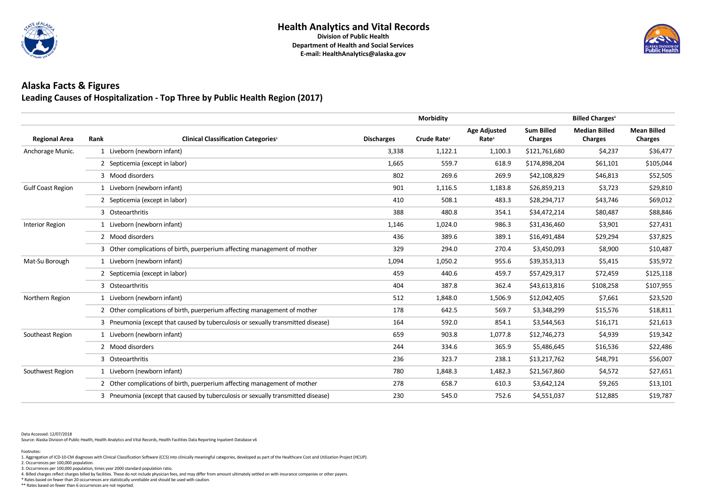

### **Alaska Facts & Figures Leading Causes of Hospitalization - Top Three by Public Health Region (2017)**

|                          |                                |                                                                                  |                   | <b>Morbidity</b>        |                                          |                                     |                                        |                                      |
|--------------------------|--------------------------------|----------------------------------------------------------------------------------|-------------------|-------------------------|------------------------------------------|-------------------------------------|----------------------------------------|--------------------------------------|
| <b>Regional Area</b>     | Rank                           | <b>Clinical Classification Categories1</b>                                       | <b>Discharges</b> | Crude Rate <sup>2</sup> | <b>Age Adjusted</b><br>Rate <sup>3</sup> | <b>Sum Billed</b><br><b>Charges</b> | <b>Median Billed</b><br><b>Charges</b> | <b>Mean Billed</b><br><b>Charges</b> |
| Anchorage Munic.         | 1 Liveborn (newborn infant)    |                                                                                  | 3,338             | 1,122.1                 | 1,100.3                                  | \$121,761,680                       | \$4,237                                | \$36,477                             |
|                          | 2 Septicemia (except in labor) |                                                                                  | 1,665             | 559.7                   | 618.9                                    | \$174,898,204                       | \$61,101                               | \$105,044                            |
|                          | 3 Mood disorders               |                                                                                  | 802               | 269.6                   | 269.9                                    | \$42,108,829                        | \$46,813                               | \$52,505                             |
| <b>Gulf Coast Region</b> | 1 Liveborn (newborn infant)    |                                                                                  | 901               | 1,116.5                 | 1,183.8                                  | \$26,859,213                        | \$3,723                                | \$29,810                             |
|                          | 2 Septicemia (except in labor) |                                                                                  | 410               | 508.1                   | 483.3                                    | \$28,294,717                        | \$43,746                               | \$69,012                             |
|                          | 3 Osteoarthritis               |                                                                                  | 388               | 480.8                   | 354.1                                    | \$34,472,214                        | \$80,487                               | \$88,846                             |
| <b>Interior Region</b>   | 1 Liveborn (newborn infant)    |                                                                                  | 1,146             | 1,024.0                 | 986.3                                    | \$31,436,460                        | \$3,901                                | \$27,431                             |
|                          | 2 Mood disorders               |                                                                                  | 436               | 389.6                   | 389.1                                    | \$16,491,484                        | \$29,294                               | \$37,825                             |
|                          |                                | 3 Other complications of birth, puerperium affecting management of mother        | 329               | 294.0                   | 270.4                                    | \$3,450,093                         | \$8,900                                | \$10,487                             |
| Mat-Su Borough           | 1 Liveborn (newborn infant)    |                                                                                  | 1,094             | 1,050.2                 | 955.6                                    | \$39,353,313                        | \$5,415                                | \$35,972                             |
|                          | 2 Septicemia (except in labor) |                                                                                  | 459               | 440.6                   | 459.7                                    | \$57,429,317                        | \$72,459                               | \$125,118                            |
|                          | 3 Osteoarthritis               |                                                                                  | 404               | 387.8                   | 362.4                                    | \$43,613,816                        | \$108,258                              | \$107,955                            |
| Northern Region          | 1 Liveborn (newborn infant)    |                                                                                  | 512               | 1,848.0                 | 1,506.9                                  | \$12,042,405                        | \$7,661                                | \$23,520                             |
|                          |                                | 2 Other complications of birth, puerperium affecting management of mother        | 178               | 642.5                   | 569.7                                    | \$3,348,299                         | \$15,576                               | \$18,811                             |
|                          |                                | 3 Pneumonia (except that caused by tuberculosis or sexually transmitted disease) | 164               | 592.0                   | 854.1                                    | \$3,544,563                         | \$16,171                               | \$21,613                             |
| Southeast Region         | 1 Liveborn (newborn infant)    |                                                                                  | 659               | 903.8                   | 1,077.8                                  | \$12,746,273                        | \$4,939                                | \$19,342                             |
|                          | 2 Mood disorders               |                                                                                  | 244               | 334.6                   | 365.9                                    | \$5,486,645                         | \$16,536                               | \$22,486                             |
|                          | 3 Osteoarthritis               |                                                                                  | 236               | 323.7                   | 238.1                                    | \$13,217,762                        | \$48,791                               | \$56,007                             |
| Southwest Region         | 1 Liveborn (newborn infant)    |                                                                                  | 780               | 1,848.3                 | 1,482.3                                  | \$21,567,860                        | \$4,572                                | \$27,651                             |
|                          |                                | 2 Other complications of birth, puerperium affecting management of mother        | 278               | 658.7                   | 610.3                                    | \$3,642,124                         | \$9,265                                | \$13,101                             |
|                          |                                | 3 Pneumonia (except that caused by tuberculosis or sexually transmitted disease) | 230               | 545.0                   | 752.6                                    | \$4,551,037                         | \$12,885                               | \$19,787                             |

Data Accessed: 12/07/2018

Source: Alaska Division of Public Health, Health Analytics and Vital Records, Health Facilities Data Reporting Inpatient Database v6

\*\* Rates based on fewer than 6 occurrences are not reported.



4. Billed charges reflect charges billed by facilities. These do not include physician fees, and may differ from amount ultimately settled on with insurance companies or other payers.

\* Rates based on fewer than 20 occurrences are statistically unreliable and should be used with caution.

2. Occurrences per 100,000 population.

3. Occurrences per 100,000 population, times year 2000 standard population ratio.

Footnotes: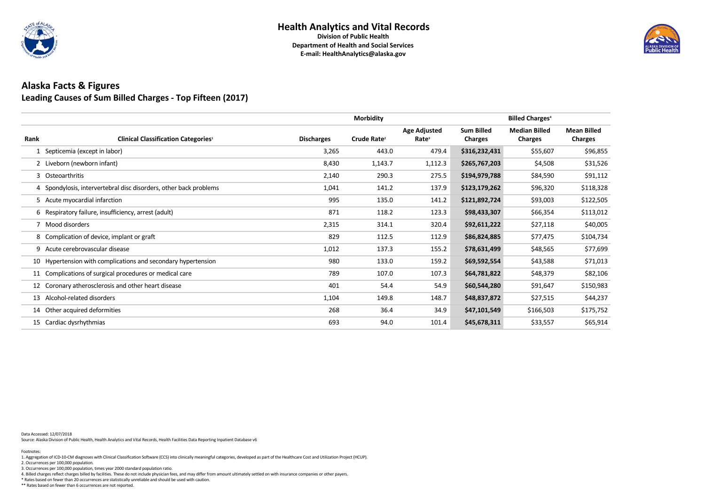

### **Alaska Facts & Figures Leading Causes of Sum Billed Charges - Top Fifteen (2017)**

|      |                                                                   |                   | <b>Morbidity</b>        |                                          |                                     | <b>Billed Charges<sup>4</sup></b>      |                                      |
|------|-------------------------------------------------------------------|-------------------|-------------------------|------------------------------------------|-------------------------------------|----------------------------------------|--------------------------------------|
| Rank | <b>Clinical Classification Categories1</b>                        | <b>Discharges</b> | Crude Rate <sup>2</sup> | <b>Age Adjusted</b><br>Rate <sup>3</sup> | <b>Sum Billed</b><br><b>Charges</b> | <b>Median Billed</b><br><b>Charges</b> | <b>Mean Billed</b><br><b>Charges</b> |
|      | Septicemia (except in labor)                                      | 3,265             | 443.0                   | 479.4                                    | \$316,232,431                       | \$55,607                               | \$96,855                             |
|      | 2 Liveborn (newborn infant)                                       | 8,430             | 1,143.7                 | 1,112.3                                  | \$265,767,203                       | \$4,508                                | \$31,526                             |
|      | 3 Osteoarthritis                                                  | 2,140             | 290.3                   | 275.5                                    | \$194,979,788                       | \$84,590                               | \$91,112                             |
|      | 4 Spondylosis, intervertebral disc disorders, other back problems | 1,041             | 141.2                   | 137.9                                    | \$123,179,262                       | \$96,320                               | \$118,328                            |
|      | 5 Acute myocardial infarction                                     | 995               | 135.0                   | 141.2                                    | \$121,892,724                       | \$93,003                               | \$122,505                            |
|      | 6 Respiratory failure, insufficiency, arrest (adult)              | 871               | 118.2                   | 123.3                                    | \$98,433,307                        | \$66,354                               | \$113,012                            |
| 7    | Mood disorders                                                    | 2,315             | 314.1                   | 320.4                                    | \$92,611,222                        | \$27,118                               | \$40,005                             |
|      | 8 Complication of device, implant or graft                        | 829               | 112.5                   | 112.9                                    | \$86,824,885                        | \$77,475                               | \$104,734                            |
|      | 9 Acute cerebrovascular disease                                   | 1,012             | 137.3                   | 155.2                                    | \$78,631,499                        | \$48,565                               | \$77,699                             |
|      | 10 Hypertension with complications and secondary hypertension     | 980               | 133.0                   | 159.2                                    | \$69,592,554                        | \$43,588                               | \$71,013                             |
|      | 11 Complications of surgical procedures or medical care           | 789               | 107.0                   | 107.3                                    | \$64,781,822                        | \$48,379                               | \$82,106                             |
|      | 12 Coronary atherosclerosis and other heart disease               | 401               | 54.4                    | 54.9                                     | \$60,544,280                        | \$91,647                               | \$150,983                            |
| 13   | Alcohol-related disorders                                         | 1,104             | 149.8                   | 148.7                                    | \$48,837,872                        | \$27,515                               | \$44,237                             |
|      | 14 Other acquired deformities                                     | 268               | 36.4                    | 34.9                                     | \$47,101,549                        | \$166,503                              | \$175,752                            |
|      | 15 Cardiac dysrhythmias                                           | 693               | 94.0                    | 101.4                                    | \$45,678,311                        | \$33,557                               | \$65,914                             |

Data Accessed: 12/07/2018

Source: Alaska Division of Public Health, Health Analytics and Vital Records, Health Facilities Data Reporting Inpatient Database v6

\*\* Rates based on fewer than 6 occurrences are not reported.



4. Billed charges reflect charges billed by facilities. These do not include physician fees, and may differ from amount ultimately settled on with insurance companies or other payers.

\* Rates based on fewer than 20 occurrences are statistically unreliable and should be used with caution.

2. Occurrences per 100,000 population.

3. Occurrences per 100,000 population, times year 2000 standard population ratio.

#### Footnotes: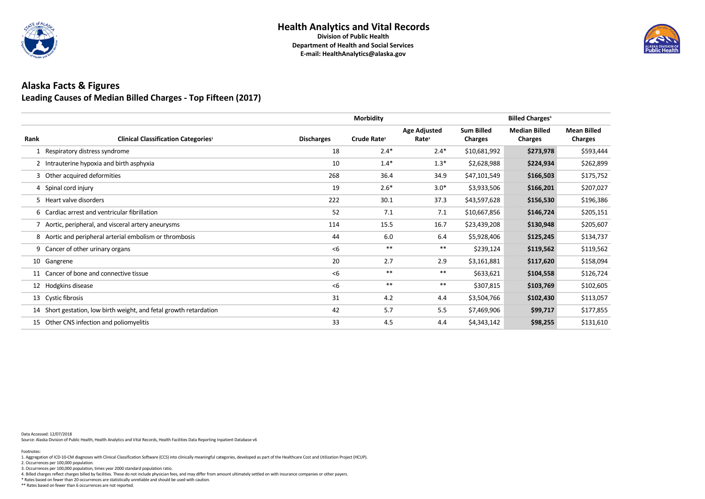

### **Alaska Facts & Figures Leading Causes of Median Billed Charges - Top Fifteen (2017)**

|      |                                                                    |                   | <b>Morbidity</b>        |                                          |                                     | <b>Billed Charges<sup>4</sup></b>      |                                      |
|------|--------------------------------------------------------------------|-------------------|-------------------------|------------------------------------------|-------------------------------------|----------------------------------------|--------------------------------------|
| Rank | <b>Clinical Classification Categories1</b>                         | <b>Discharges</b> | Crude Rate <sup>2</sup> | <b>Age Adjusted</b><br>Rate <sup>3</sup> | <b>Sum Billed</b><br><b>Charges</b> | <b>Median Billed</b><br><b>Charges</b> | <b>Mean Billed</b><br><b>Charges</b> |
|      | 1 Respiratory distress syndrome                                    | 18                | $2.4*$                  | $2.4*$                                   | \$10,681,992                        | \$273,978                              | \$593,444                            |
|      | 2 Intrauterine hypoxia and birth asphyxia                          | 10                | $1.4*$                  | $1.3*$                                   | \$2,628,988                         | \$224,934                              | \$262,899                            |
|      | 3 Other acquired deformities                                       | 268               | 36.4                    | 34.9                                     | \$47,101,549                        | \$166,503                              | \$175,752                            |
|      | 4 Spinal cord injury                                               | 19                | $2.6*$                  | $3.0*$                                   | \$3,933,506                         | \$166,201                              | \$207,027                            |
|      | 5 Heart valve disorders                                            | 222               | 30.1                    | 37.3                                     | \$43,597,628                        | \$156,530                              | \$196,386                            |
|      | 6 Cardiac arrest and ventricular fibrillation                      | 52                | 7.1                     | 7.1                                      | \$10,667,856                        | \$146,724                              | \$205,151                            |
|      | 7 Aortic, peripheral, and visceral artery aneurysms                | 114               | 15.5                    | 16.7                                     | \$23,439,208                        | \$130,948                              | \$205,607                            |
|      | 8 Aortic and peripheral arterial embolism or thrombosis            | 44                | 6.0                     | 6.4                                      | \$5,928,406                         | \$125,245                              | \$134,737                            |
|      | 9 Cancer of other urinary organs                                   | < 6               | $***$                   | $***$                                    | \$239,124                           | \$119,562                              | \$119,562                            |
|      | 10 Gangrene                                                        | 20                | 2.7                     | 2.9                                      | \$3,161,881                         | \$117,620                              | \$158,094                            |
|      | 11 Cancer of bone and connective tissue                            | < 6               | $***$                   | $***$                                    | \$633,621                           | \$104,558                              | \$126,724                            |
|      | 12 Hodgkins disease                                                | < 6               | $***$                   | $***$                                    | \$307,815                           | \$103,769                              | \$102,605                            |
|      | 13 Cystic fibrosis                                                 | 31                | 4.2                     | 4.4                                      | \$3,504,766                         | \$102,430                              | \$113,057                            |
|      | 14 Short gestation, low birth weight, and fetal growth retardation | 42                | 5.7                     | 5.5                                      | \$7,469,906                         | \$99,717                               | \$177,855                            |
|      | 15 Other CNS infection and poliomyelitis                           | 33                | 4.5                     | 4.4                                      | \$4,343,142                         | \$98,255                               | \$131,610                            |

Data Accessed: 12/07/2018

Source: Alaska Division of Public Health, Health Analytics and Vital Records, Health Facilities Data Reporting Inpatient Database v6

\*\* Rates based on fewer than 6 occurrences are not reported.



4. Billed charges reflect charges billed by facilities. These do not include physician fees, and may differ from amount ultimately settled on with insurance companies or other payers.

\* Rates based on fewer than 20 occurrences are statistically unreliable and should be used with caution.

2. Occurrences per 100,000 population.

3. Occurrences per 100,000 population, times year 2000 standard population ratio.

#### Footnotes: